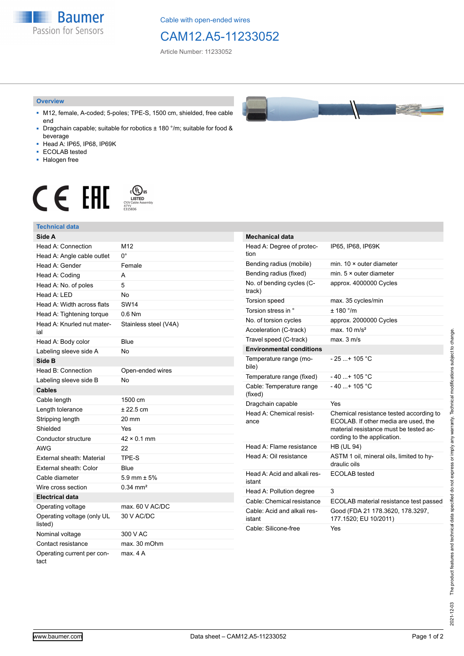**Baumer** Passion for Sensors

Cable with open-ended wires

## CAM12.A5-11233052

Article Number: 11233052

#### **Overview**

- M12, female, A-coded; 5-poles; TPE-S, 1500 cm, shielded, free cable end
- Dragchain capable; suitable for robotics ± 180 °/m; suitable for food & beverage
- Head A: IP65, IP68, IP69K
- ECOLAB tested
- Halogen free

# $\displaystyle \mathop{\mathsf{C}}\limits_{\substack{\mathsf{C} \text{YJV Cable Asser}\ \text{47YY} \ \text{47YY}}} \mathop{\mathsf{LISTED}}\limits_{\substack{\mathsf{C} \text{47YY} \ \text{E}315836}}$ **CE EAL**

### **Technical data**

| Side A                                |                       |
|---------------------------------------|-----------------------|
| Head A: Connection                    | M <sub>12</sub>       |
| Head A: Angle cable outlet            | 0°                    |
| Head A: Gender                        | Female                |
| Head A: Coding                        | A                     |
| Head A: No. of poles                  | 5                     |
| Head A: LED                           | <b>No</b>             |
| Head A: Width across flats            | <b>SW14</b>           |
| Head A: Tightening torque             | $0.6$ Nm              |
| Head A: Knurled nut mater-<br>ial     | Stainless steel (V4A) |
| Head A: Body color                    | Blue                  |
| Labeling sleeve side A                | <b>No</b>             |
| Side B                                |                       |
| Head B: Connection                    | Open-ended wires      |
| Labeling sleeve side B                | No                    |
| <b>Cables</b>                         |                       |
| Cable length                          | 1500 cm               |
| Length tolerance                      | $± 22.5$ cm           |
| Stripping length                      | 20 mm                 |
| Shielded                              | Yes                   |
| Conductor structure                   | $42 \times 0.1$ mm    |
| AWG                                   | 22                    |
| External sheath: Material             | TPE-S                 |
| External sheath: Color                | Blue                  |
| Cable diameter                        | 5.9 mm $\pm$ 5%       |
| Wire cross section                    | $0.34 \text{ mm}^2$   |
| <b>Electrical data</b>                |                       |
| Operating voltage                     | max. 60 V AC/DC       |
| Operating voltage (only UL<br>listed) | 30 V AC/DC            |
| Nominal voltage                       | 300 V AC              |
| Contact resistance                    | max. 30 mOhm          |
| Operating current per con-<br>tact    | max 4 A               |

| <b>Mechanical data</b>                 |                                                                                                                                                          |
|----------------------------------------|----------------------------------------------------------------------------------------------------------------------------------------------------------|
| Head A: Degree of protec-<br>tion      | IP65, IP68, IP69K                                                                                                                                        |
| Bending radius (mobile)                | min. $10 \times$ outer diameter                                                                                                                          |
| Bending radius (fixed)                 | min. $5 \times$ outer diameter                                                                                                                           |
| No. of bending cycles (C-<br>track)    | approx. 4000000 Cycles                                                                                                                                   |
| <b>Torsion speed</b>                   | max. 35 cycles/min                                                                                                                                       |
| Torsion stress in °                    | ± 180 °/m                                                                                                                                                |
| No. of torsion cycles                  | approx. 2000000 Cycles                                                                                                                                   |
| Acceleration (C-track)                 | max. $10 \text{ m/s}^2$                                                                                                                                  |
| Travel speed (C-track)                 | max. 3 m/s                                                                                                                                               |
| <b>Environmental conditions</b>        |                                                                                                                                                          |
| Temperature range (mo-<br>bile)        | - 25 + 105 °C                                                                                                                                            |
| Temperature range (fixed)              | - 40 + 105 °C                                                                                                                                            |
| Cable: Temperature range<br>(fixed)    | $-40+105 °C$                                                                                                                                             |
| Dragchain capable                      | Yes                                                                                                                                                      |
| Head A: Chemical resist-<br>ance       | Chemical resistance tested according to<br>ECOLAB. If other media are used, the<br>material resistance must be tested ac-<br>cording to the application. |
| Head A: Flame resistance               | <b>HB (UL 94)</b>                                                                                                                                        |
| Head A: Oil resistance                 | ASTM 1 oil, mineral oils, limited to hy-<br>draulic oils                                                                                                 |
| Head A: Acid and alkali res-<br>istant | ECOLAB tested                                                                                                                                            |
| Head A: Pollution degree               | 3                                                                                                                                                        |
| Cable: Chemical resistance             | ECOLAB material resistance test passed                                                                                                                   |
| Cable: Acid and alkali res-<br>istant  | Good (FDA 21 178.3620, 178.3297,<br>177.1520; EU 10/2011)                                                                                                |
| Cable: Silicone-free                   | Yes                                                                                                                                                      |